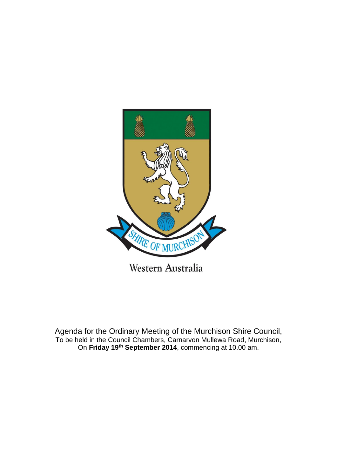

Agenda for the Ordinary Meeting of the Murchison Shire Council, To be held in the Council Chambers, Carnarvon Mullewa Road, Murchison, On **Friday 19th September 2014**, commencing at 10.00 am.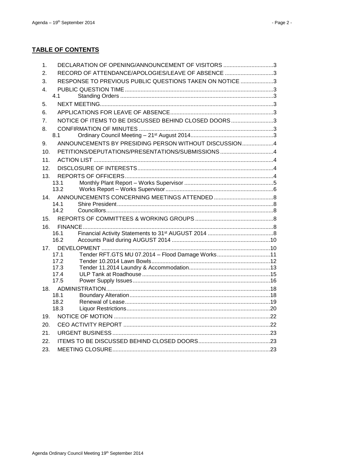# **TABLE OF CONTENTS**

| 1.  | DECLARATION OF OPENING/ANNOUNCEMENT OF VISITORS 3        |  |
|-----|----------------------------------------------------------|--|
| 2.  | RECORD OF ATTENDANCE/APOLOGIES/LEAVE OF ABSENCE 3        |  |
| 3.  | RESPONSE TO PREVIOUS PUBLIC QUESTIONS TAKEN ON NOTICE 3  |  |
| 4.  |                                                          |  |
|     | 4.1                                                      |  |
| 5.  |                                                          |  |
| 6.  |                                                          |  |
| 7.  | NOTICE OF ITEMS TO BE DISCUSSED BEHIND CLOSED DOORS3     |  |
| 8.  |                                                          |  |
|     | 8.1                                                      |  |
| 9.  | ANNOUNCEMENTS BY PRESIDING PERSON WITHOUT DISCUSSION4    |  |
| 10. | PETITIONS/DEPUTATIONS/PRESENTATIONS/SUBMISSIONS 4        |  |
| 11. |                                                          |  |
| 12. |                                                          |  |
| 13. |                                                          |  |
|     | 13.1                                                     |  |
|     | 13.2                                                     |  |
| 14. | 14.1                                                     |  |
|     | 14.2                                                     |  |
| 15. |                                                          |  |
| 16. |                                                          |  |
|     | 16.1                                                     |  |
|     | 16.2                                                     |  |
| 17. |                                                          |  |
|     | Tender RFT.GTS MU 07.2014 - Flood Damage Works11<br>17.1 |  |
|     | 17.2                                                     |  |
|     | 17.3<br>17.4                                             |  |
|     | 17.5                                                     |  |
| 18. |                                                          |  |
|     | 18.1                                                     |  |
|     | 18.2                                                     |  |
|     | 18.3                                                     |  |
| 19. |                                                          |  |
| 20. |                                                          |  |
| 21. |                                                          |  |
| 22. |                                                          |  |
| 23. |                                                          |  |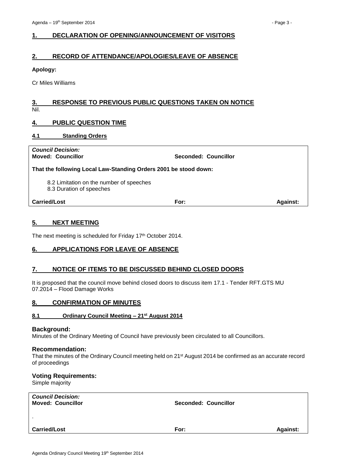# <span id="page-2-0"></span>**1. DECLARATION OF OPENING/ANNOUNCEMENT OF VISITORS**

# <span id="page-2-1"></span>**2. RECORD OF ATTENDANCE/APOLOGIES/LEAVE OF ABSENCE**

## **Apology:**

Cr Miles Williams

## <span id="page-2-2"></span>**3. RESPONSE TO PREVIOUS PUBLIC QUESTIONS TAKEN ON NOTICE** Nil.

# <span id="page-2-3"></span>**4. PUBLIC QUESTION TIME**

## <span id="page-2-4"></span>**4.1 Standing Orders**

| <b>Council Decision:</b><br><b>Moved: Councillor</b>                 | <b>Seconded: Councillor</b> |                 |
|----------------------------------------------------------------------|-----------------------------|-----------------|
| That the following Local Law-Standing Orders 2001 be stood down:     |                             |                 |
| 8.2 Limitation on the number of speeches<br>8.3 Duration of speeches |                             |                 |
| <b>Carried/Lost</b>                                                  | For:                        | <b>Against:</b> |

# <span id="page-2-5"></span>**5. NEXT MEETING**

The next meeting is scheduled for Friday 17<sup>th</sup> October 2014.

# <span id="page-2-6"></span>**6. APPLICATIONS FOR LEAVE OF ABSENCE**

# <span id="page-2-7"></span>**7. NOTICE OF ITEMS TO BE DISCUSSED BEHIND CLOSED DOORS**

It is proposed that the council move behind closed doors to discuss item 17.1 - Tender RFT.GTS MU 07.2014 – Flood Damage Works

# <span id="page-2-8"></span>**8. CONFIRMATION OF MINUTES**

#### <span id="page-2-9"></span>**8.1 Ordinary Council Meeting – 21st August 2014**

#### **Background:**

Minutes of the Ordinary Meeting of Council have previously been circulated to all Councillors.

#### **Recommendation:**

That the minutes of the Ordinary Council meeting held on 21st August 2014 be confirmed as an accurate record of proceedings

# **Voting Requirements:**

Simple majority

| <b>Council Decision:</b><br><b>Moved: Councillor</b> | Seconded: Councillor |                 |
|------------------------------------------------------|----------------------|-----------------|
| $\cdot$                                              |                      |                 |
| <b>Carried/Lost</b>                                  | For:                 | <b>Against:</b> |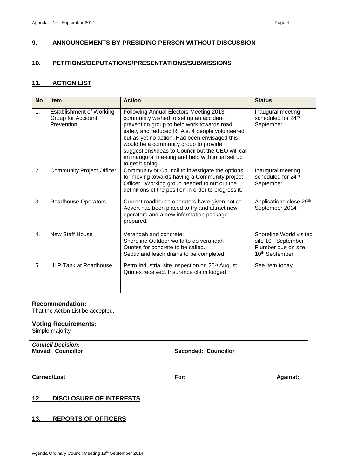# <span id="page-3-0"></span>**9. ANNOUNCEMENTS BY PRESIDING PERSON WITHOUT DISCUSSION**

## <span id="page-3-1"></span>**10. PETITIONS/DEPUTATIONS/PRESENTATIONS/SUBMISSIONS**

# <span id="page-3-2"></span>**11. ACTION LIST**

| <b>No</b>        | <b>Item</b>                                                         | <b>Action</b>                                                                                                                                                                                                                                                                                                                                                                                               | <b>Status</b>                                                                                                   |
|------------------|---------------------------------------------------------------------|-------------------------------------------------------------------------------------------------------------------------------------------------------------------------------------------------------------------------------------------------------------------------------------------------------------------------------------------------------------------------------------------------------------|-----------------------------------------------------------------------------------------------------------------|
| 1.               | <b>Establishment of Working</b><br>Group for Accident<br>Prevention | Following Annual Electors Meeting 2013 -<br>community wished to set up an accident<br>prevention group to help work towards road<br>safety and reduced RTA's. 4 people volunteered<br>but as yet no action. Had been envisaged this<br>would be a community group to provide<br>suggestions/ideas to Council but the CEO will call<br>an inaugural meeting and help with initial set up<br>to get it going. | Inaugural meeting<br>scheduled for 24th<br>September.                                                           |
| 2.               | <b>Community Project Officer</b>                                    | Community or Council to investigate the options<br>for moving towards having a Community project<br>Officer. Working group needed to nut out the<br>definitions of the position in order to progress it.                                                                                                                                                                                                    | Inaugural meeting<br>scheduled for 24th<br>September.                                                           |
| 3.               | <b>Roadhouse Operators</b>                                          | Current roadhouse operators have given notice.<br>Advert has been placed to try and attract new<br>operators and a new information package<br>prepared.                                                                                                                                                                                                                                                     | Applications close 29th<br>September 2014                                                                       |
| $\overline{4}$ . | New Staff House                                                     | Verandah and concrete.<br>Shoreline Outdoor world to do verandah<br>Quotes for concrete to be called.<br>Septic and leach drains to be completed                                                                                                                                                                                                                                                            | Shoreline World visited<br>site 10 <sup>th</sup> September<br>Plumber due on site<br>10 <sup>th</sup> September |
| 5.               | ULP Tank at Roadhouse                                               | Petro Industrial site inspection on 26 <sup>th</sup> August.<br>Quotes received. Insurance claim lodged                                                                                                                                                                                                                                                                                                     | See item today                                                                                                  |

## **Recommendation:**

That the Action List be accepted.

## **Voting Requirements:**

Simple majority

| <b>Council Decision:</b><br><b>Moved: Councillor</b> | <b>Seconded: Councillor</b> |                 |
|------------------------------------------------------|-----------------------------|-----------------|
| <b>Carried/Lost</b>                                  | For:                        | <b>Against:</b> |

# <span id="page-3-3"></span>**12. DISCLOSURE OF INTERESTS**

# <span id="page-3-4"></span>**13. REPORTS OF OFFICERS**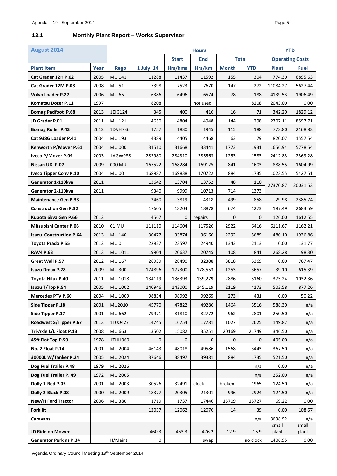# <span id="page-4-0"></span>**13.1 Monthly Plant Report – Works Supervisor**

| <b>August 2014</b>             |      |                 | <b>Hours</b>                               |         |              |              | <b>YTD</b>             |                |                |
|--------------------------------|------|-----------------|--------------------------------------------|---------|--------------|--------------|------------------------|----------------|----------------|
|                                |      |                 | <b>End</b><br><b>Total</b><br><b>Start</b> |         |              |              | <b>Operating Costs</b> |                |                |
| <b>Plant Item</b>              | Year | <b>Rego</b>     | 1 July '14                                 | Hrs/kms | Hrs/km       | <b>Month</b> | <b>YTD</b>             | <b>Plant</b>   | <b>Fuel</b>    |
| Cat Grader 12H P.02            | 2005 | MU 141          | 11288                                      | 11437   | 11592        | 155          | 304                    | 774.30         | 6895.63        |
| Cat Grader 12M P.03            | 2008 | <b>MU 51</b>    | 7398                                       | 7523    | 7670         | 147          | 272                    | 11084.27       | 5627.44        |
| <b>Volvo Loader P.27</b>       | 2006 | <b>MU 65</b>    | 6386                                       | 6496    | 6574         | 78           | 188                    | 4139.53        | 1906.49        |
| Komatsu Dozer P.11             | 1997 |                 | 8208                                       |         | not used     |              | 8208                   | 2043.00        | 0.00           |
| <b>Bomag Padfoot P.68</b>      | 2013 | 1EIG124         | 345                                        | 400     | 416          | 16           | 71                     | 342.20         | 1829.12        |
| JD Grader P.01                 | 2011 | MU 121          | 4650                                       | 4804    | 4948         | 144          | 298                    | 2707.11        | 8597.71        |
| <b>Bomag Roller P.43</b>       | 2012 | 1DVH736         | 1757                                       | 1830    | 1945         | 115          | 188                    | 773.80         | 2168.83        |
| Cat 938G Loader P.41           | 2004 | MU 193          | 4389                                       | 4405    | 4468         | 63           | 79                     | 820.07         | 1557.54        |
| Kenworth P/Mover P.61          | 2004 | <b>MU 000</b>   | 31510                                      | 31668   | 33441        | 1773         | 1931                   | 1656.94        | 5778.54        |
| Iveco P/Mover P.09             | 2003 | 1AGW988         | 283980                                     | 284310  | 285563       | 1253         | 1583                   | 2412.83        | 2369.28        |
| Nissan UD P.07                 | 2009 | 000 MU          | 167522                                     | 168284  | 169125       | 841          | 1603                   | 888.55         | 1604.99        |
| <b>Iveco Tipper Conv P.10</b>  | 2004 | <b>MU00</b>     | 168987                                     | 169838  | 170722       | 884          | 1735                   | 1023.55        | 5427.51        |
| Generator 1-110kva             | 2011 |                 | 13642                                      | 13704   | 13752        | 48           | 110                    | 27370.87       | 20031.53       |
| Generator 2-110kva             | 2011 |                 | 9340                                       | 9999    | 10713        | 714          | 1373                   |                |                |
| <b>Maintenance Gen P.33</b>    |      |                 | 3460                                       | 3819    | 4318         | 499          | 858                    | 29.98          | 2385.74        |
| <b>Construction Gen P.32</b>   |      |                 | 17605                                      | 18204   | 18878        | 674          | 1273                   | 187.49         | 2683.59        |
| Kubota 6kva Gen P.66           | 2012 |                 | 4567                                       | 0       | repairs      | $\mathbf{0}$ | $\mathbf{0}$           | 126.00         | 1612.55        |
| <b>Mitsubishi Canter P.06</b>  | 2010 | 01 MU           | 111110                                     | 114604  | 117526       | 2922         | 6416                   | 6111.67        | 1162.21        |
| <b>Isuzu Construction P.64</b> | 2013 | MU 140          | 30477                                      | 33874   | 36166        | 2292         | 5689                   | 480.10         | 1936.86        |
| Toyota Prado P.55              | 2012 | MU <sub>0</sub> | 22827                                      | 23597   | 24940        | 1343         | 2113                   | 0.00           | 131.77         |
| RAV4 P.63                      | 2013 | MU 1011         | 19904                                      | 20637   | 20745        | 108          | 841                    | 268.28         | 98.30          |
| Great Wall P.57                | 2012 | MU 167          | 26939                                      | 28490   | 32308        | 3818         | 5369                   | 0.00           | 767.47         |
| <b>Isuzu Dmax P.28</b>         | 2009 | <b>MU300</b>    | 174896                                     | 177300  | 178,553      | 1253         | 3657                   | 39.10          | 615.39         |
| Toyota Hilux P.40              | 2011 | MU 1018         | 134119                                     | 136393  | 139,279      | 2886         | 5160                   | 375.24         | 1032.36        |
| Isuzu T/Top P.54               | 2005 | MU 1002         | 140946                                     | 143000  | 145,119      | 2119         | 4173                   | 502.58         | 877.26         |
| <b>Mercedes PTV P.60</b>       | 2004 | MU 1009         | 98834                                      | 98992   | 99265        | 273          | 431                    | 0.00           | 50.22          |
| Side Tipper P.18               | 2001 | MU2010          | 45770                                      | 47822   | 49286        | 1464         | 3516                   | 588.30         | n/a            |
| Side Tipper P.17               | 2001 | <b>MU 662</b>   | 79971                                      | 81810   | 82772        | 962          | 2801                   | 250.50         | n/a            |
| Roadwest S/Tipper P.67         | 2013 | 1T0Q427         | 14745                                      | 16754   | 17781        | 1027         | 2625                   | 149.87         | n/a            |
| Tri-Axle L/L Float P.13        | 2008 | MU 663          | 13502                                      | 15082   | 35251        | 20169        | 21749                  | 346.50         | n/a            |
| 45ft Flat Top P.59             | 1978 | 1THH060         | 0                                          | 0       | $\mathbf{0}$ | $\mathbf{0}$ | 0                      | 405.00         | n/a            |
| No. 2 Float P.14               | 2001 | MU 2004         | 46143                                      | 48018   | 49586        | 1568         | 3443                   | 367.50         | n/a            |
| 30000L W/Tanker P.24           | 2005 | MU 2024         | 37646                                      | 38497   | 39381        | 884          | 1735                   | 521.50         | n/a            |
| Dog Fuel Trailer P.48          | 1979 | MU 2026         |                                            |         |              |              | n/a                    | 0.00           | n/a            |
| Dog Fuel Trailer P. 49         | 1972 | MU 2005         |                                            |         |              |              | n/a                    | 252.00         | n/a            |
| Dolly 1-Red P.05               | 2001 | MU 2003         | 30526                                      | 32491   | clock        | broken       | 1965                   | 124.50         | n/a            |
| Dolly 2-Black P.08             | 2000 | MU 2009         | 18377                                      | 20305   | 21301        | 996          | 2924                   | 124.50         | n/a            |
| New/H Ford Tractor             | 2006 | <b>MU380</b>    | 1719                                       | 1737    | 17446        | 15709        | 15727                  | 69.22          | 0.00           |
| <b>Forklift</b>                |      |                 | 12037                                      | 12062   | 12076        | 14           | 39                     | 0.00           | 108.67         |
| Caravans                       |      |                 |                                            |         |              |              | n/a                    | 3638.92        | n/a            |
| <b>JD Ride on Mower</b>        |      |                 | 460.3                                      | 463.3   | 476.2        | 12.9         | 15.9                   | small<br>plant | small<br>plant |
| <b>Generator Perkins P.34</b>  |      | H/Maint         | 0                                          |         | swap         |              | no clock               | 1406.95        | 0.00           |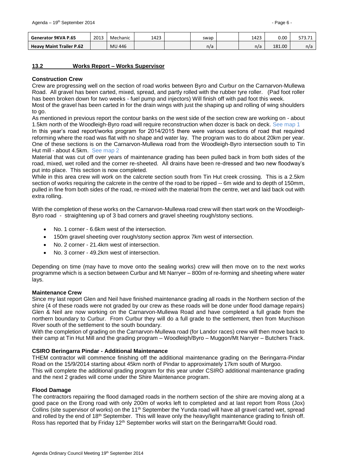| Generator 9KVA P.65             | 2013 | Mechanic | 1423 | swap | 1423 | 0.00   | 313.II |
|---------------------------------|------|----------|------|------|------|--------|--------|
| <b>Heavy Maint Trailer P.62</b> |      | MU 446   |      | n/a  | n/a  | 181.00 | n/a    |

## <span id="page-5-0"></span>**13.2 Works Report – Works Supervisor**

#### **Construction Crew**

Crew are progressing well on the section of road works between Byro and Curbur on the Carnarvon-Mullewa Road. All gravel has been carted, mixed, spread, and partly rolled with the rubber tyre roller. (Pad foot roller has been broken down for two weeks - fuel pump and injectors) Will finish off with pad foot this week.

Most of the gravel has been carted in for the drain wings with just the shaping up and rolling of wing shoulders to go.

As mentioned in previous report the contour banks on the west side of the section crew are working on - about 1.5km north of the Woodleigh-Byro road will require reconstruction when dozer is back on deck. See map 1

In this year's road report/works program for 2014/2015 there were various sections of road that required reforming where the road was flat with no shape and water lay. The program was to do about 20km per year. One of these sections is on the Carnarvon-Mullewa road from the Woodleigh-Byro intersection south to Tin Hut mill - about 4.5km. See map 2

Material that was cut off over years of maintenance grading has been pulled back in from both sides of the road, mixed, wet rolled and the corner re-sheeted. All drains have been re-dressed and two new floodway's put into place. This section is now completed.

While in this area crew will work on the calcrete section south from Tin Hut creek crossing. This is a 2.5km section of works requiring the calcrete in the centre of the road to be ripped -- 6m wide and to depth of 150mm, pulled in fine from both sides of the road, re-mixed with the material from the centre, wet and laid back out with extra rolling.

With the completion of these works on the Carnarvon-Mullewa road crew will then start work on the Woodleigh-Byro road - straightening up of 3 bad corners and gravel sheeting rough/stony sections.

- No. 1 corner 6.6km west of the intersection.
- 150m gravel sheeting over rough/stony section approx 7km west of intersection.
- No. 2 corner 21.4km west of intersection.
- No. 3 corner 49.2km west of intersection.

Depending on time (may have to move onto the sealing works) crew will then move on to the next works programme which is a section between Curbur and Mt Narryer – 800m of re-forming and sheeting where water lays.

#### **Maintenance Crew**

Since my last report Glen and Neil have finished maintenance grading all roads in the Northern section of the shire (4 of these roads were not graded by our crew as these roads will be done under flood damage repairs) Glen & Neil are now working on the Carnarvon-Mullewa Road and have completed a full grade from the northern boundary to Curbur. From Curbur they will do a full grade to the settlement, then from Murchison River south of the settlement to the south boundary.

With the completion of grading on the Carnarvon-Mullewa road (for Landor races) crew will then move back to their camp at Tin Hut Mill and the grading program – Woodleigh/Byro – Muggon/Mt Narryer – Butchers Track.

## **CSIRO Beringarra Pindar - Additional Maintenance**

THEM contractor will commence finishing off the additional maintenance grading on the Beringarra-Pindar Road on the 15/9/2014 starting about 45km north of Pindar to approximately 17km south of Murgoo. This will complete the additional grading program for this year under CSIRO additional maintenance grading and the next 2 grades will come under the Shire Maintenance program.

## **Flood Damage**

The contractors repairing the flood damaged roads in the northern section of the shire are moving along at a good pace on the Erong road with only 200m of works left to completed and at last report from Ross (Jox) Collins (site supervisor of works) on the 11<sup>th</sup> September the Yunda road will have all gravel carted wet, spread and rolled by the end of 18<sup>th</sup> September. This will leave only the heavy/light maintenance grading to finish off. Ross has reported that by Friday 12<sup>th</sup> September works will start on the Beringarra/Mt Gould road.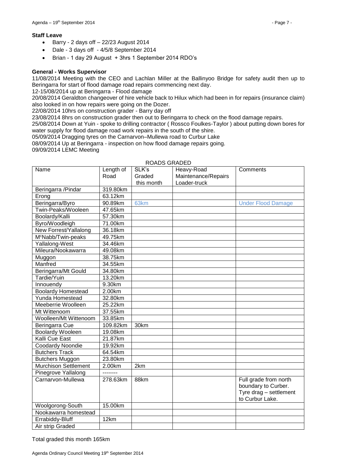#### **Staff Leave**

- $\bullet$  Barry 2 days off  $-22/23$  August 2014
- Dale 3 days off 4/5/8 September 2014
- Brian 1 day 29 August + 3hrs 1 September 2014 RDO's

#### **General - Works Supervisor**

11/08/2014 Meeting with the CEO and Lachlan Miller at the Ballinyoo Bridge for safety audit then up to Beringarra for start of flood damage road repairs commencing next day.

12-15/08/2014 up at Beringarra - Flood damage

20/08/2014 Geraldton changeover of hire vehicle back to Hilux which had been in for repairs (insurance claim) also looked in on how repairs were going on the Dozer.

22/08/2014 10hrs on construction grader - Barry day off

23/08/2014 8hrs on construction grader then out to Beringarra to check on the flood damage repairs.

25/08/2014 Down at Yuin - spoke to drilling contractor ( Rossco Foulkes-Taylor ) about putting down bores for water supply for flood damage road work repairs in the south of the shire.

05/09/2014 Dragging tyres on the Carnarvon–Mullewa road to Curbur Lake

08/09/2014 Up at Beringarra - inspection on how flood damage repairs going. 09/09/2014 LEMC Meeting

| Name                           | Length of | SLK's            | Heavy-Road          | Comments                                     |
|--------------------------------|-----------|------------------|---------------------|----------------------------------------------|
|                                | Road      | Graded           | Maintenance/Repairs |                                              |
|                                |           | this month       | Loader-truck        |                                              |
| Beringarra /Pindar             | 319.80km  |                  |                     |                                              |
| Erong                          | 63.12km   |                  |                     |                                              |
| Beringarra/Byro                | 90.89km   | 63 <sub>km</sub> |                     | <b>Under Flood Damage</b>                    |
| Twin-Peaks/Wooleen             | 47.65km   |                  |                     |                                              |
| Boolardy/Kalli                 | 57.30km   |                  |                     |                                              |
| Byro/Woodleigh                 | 71.00km   |                  |                     |                                              |
| New Forrest/Yallalong          | 36.18km   |                  |                     |                                              |
| M <sup>c</sup> Nabb/Twin-peaks | 49.75km   |                  |                     |                                              |
| Yallalong-West                 | 34.46km   |                  |                     |                                              |
| Mileura/Nookawarra             | 49.08km   |                  |                     |                                              |
| Muggon                         | 38.75km   |                  |                     |                                              |
| Manfred                        | 34.55km   |                  |                     |                                              |
| Beringarra/Mt Gould            | 34.80km   |                  |                     |                                              |
| Tardie/Yuin                    | 13.20km   |                  |                     |                                              |
| Innouendy                      | 9.30km    |                  |                     |                                              |
| <b>Boolardy Homestead</b>      | 2.00km    |                  |                     |                                              |
| Yunda Homestead                | 32.80km   |                  |                     |                                              |
| Meeberrie Woolleen             | 25.22km   |                  |                     |                                              |
| Mt Wittenoom                   | 37.55km   |                  |                     |                                              |
| Woolleen/Mt Wittenoom          | 33.85km   |                  |                     |                                              |
| Beringarra Cue                 | 109.82km  | 30km             |                     |                                              |
| <b>Boolardy Wooleen</b>        | 19.08km   |                  |                     |                                              |
| Kalli Cue East                 | 21.87km   |                  |                     |                                              |
| Coodardy Noondie               | 19.92km   |                  |                     |                                              |
| <b>Butchers Track</b>          | 64.54km   |                  |                     |                                              |
| <b>Butchers Muggon</b>         | 23.80km   |                  |                     |                                              |
| <b>Murchison Settlement</b>    | 2.00km    | 2km              |                     |                                              |
| Pinegrove Yallalong            |           |                  |                     |                                              |
| Carnarvon-Mullewa              | 278.63km  | 88km             |                     | Full grade from north<br>boundary to Curber. |
|                                |           |                  |                     | Tyre drag - settlement                       |
|                                |           |                  |                     | to Curbur Lake.                              |
| Woolgorong-South               | 15.00km   |                  |                     |                                              |
| Nookawarra homestead           |           |                  |                     |                                              |
| Errabiddy-Bluff                | 12km      |                  |                     |                                              |
| Air strip Graded               |           |                  |                     |                                              |

## ROADS GRADED

Total graded this month 165km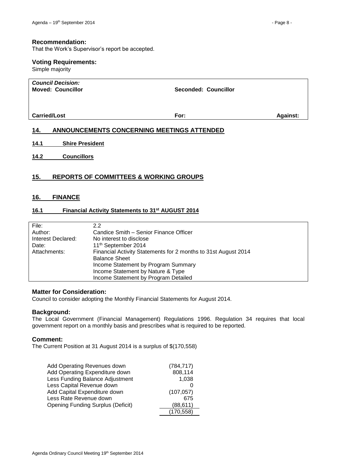## **Recommendation:**

That the Work's Supervisor's report be accepted.

#### **Voting Requirements:**

Simple majority

| <b>Council Decision:</b><br><b>Moved: Councillor</b> | <b>Seconded: Councillor</b> |                 |
|------------------------------------------------------|-----------------------------|-----------------|
| <b>Carried/Lost</b>                                  | For:                        | <b>Against:</b> |

# <span id="page-7-0"></span>**14. ANNOUNCEMENTS CONCERNING MEETINGS ATTENDED**

- <span id="page-7-1"></span>**14.1 Shire President**
- <span id="page-7-2"></span>**14.2 Councillors**

# <span id="page-7-3"></span>**15. REPORTS OF COMMITTEES & WORKING GROUPS**

# <span id="page-7-4"></span>**16. FINANCE**

## <span id="page-7-5"></span>**16.1 Financial Activity Statements to 31st AUGUST 2014**

| File:              | 2.2                                                            |
|--------------------|----------------------------------------------------------------|
| Author:            | Candice Smith – Senior Finance Officer                         |
| Interest Declared: | No interest to disclose                                        |
| Date:              | 11 <sup>th</sup> September 2014                                |
| Attachments:       | Financial Activity Statements for 2 months to 31st August 2014 |
|                    | <b>Balance Sheet</b>                                           |
|                    | Income Statement by Program Summary                            |
|                    | Income Statement by Nature & Type                              |
|                    | Income Statement by Program Detailed                           |

#### **Matter for Consideration:**

Council to consider adopting the Monthly Financial Statements for August 2014.

#### **Background:**

The Local Government (Financial Management) Regulations 1996. Regulation 34 requires that local government report on a monthly basis and prescribes what is required to be reported.

#### **Comment:**

The Current Position at 31 August 2014 is a surplus of \$(170,558)

| Add Operating Revenues down              | (784, 717) |
|------------------------------------------|------------|
| Add Operating Expenditure down           | 808,114    |
| Less Funding Balance Adjustment          | 1,038      |
| Less Capital Revenue down                |            |
| Add Capital Expenditure down             | (107, 057) |
| Less Rate Revenue down                   | 675        |
| <b>Opening Funding Surplus (Deficit)</b> | (88, 611)  |
|                                          | (170, 558) |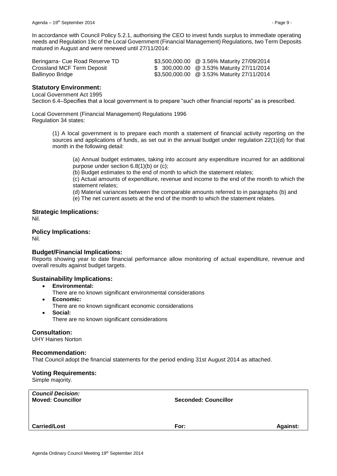In accordance with Council Policy 5.2.1, authorising the CEO to invest funds surplus to immediate operating needs and Regulation 19c of the Local Government (Financial Management) Regulations, two Term Deposits matured in August and were renewed until 27/11/2014:

| Beringarra- Cue Road Reserve TD | \$3,500,000.00 @ 3.56% Maturity 27/09/2014 |
|---------------------------------|--------------------------------------------|
| Crossland MCF Term Deposit      | \$ 300,000.00 @ 3.53% Maturity 27/11/2014  |
| Ballinyoo Bridge                | \$3,500,000.00 @ 3.53% Maturity 27/11/2014 |

## **Statutory Environment:**

Local Government Act 1995

Section 6.4–Specifies that a local government is to prepare "such other financial reports" as is prescribed.

Local Government (Financial Management) Regulations 1996 Regulation 34 states:

> (1) A local government is to prepare each month a statement of financial activity reporting on the sources and applications of funds, as set out in the annual budget under regulation 22(1)(d) for that month in the following detail:

(a) Annual budget estimates, taking into account any expenditure incurred for an additional purpose under section 6.8(1)(b) or (c);

(b) Budget estimates to the end of month to which the statement relates;

(c) Actual amounts of expenditure, revenue and income to the end of the month to which the statement relates;

(d) Material variances between the comparable amounts referred to in paragraphs (b) and

(e) The net current assets at the end of the month to which the statement relates.

**Strategic Implications:** Nil.

# **Policy Implications:**

Nil.

# **Budget/Financial Implications:**

Reports showing year to date financial performance allow monitoring of actual expenditure, revenue and overall results against budget targets.

## **Sustainability Implications:**

- **Environmental:**
	- There are no known significant environmental considerations
- **Economic:**
- There are no known significant economic considerations
- **Social:**

There are no known significant considerations

## **Consultation:**

UHY Haines Norton

## **Recommendation:**

That Council adopt the financial statements for the period ending 31st August 2014 as attached.

## **Voting Requirements:**

Simple majority.

| <b>Council Decision:</b><br><b>Moved: Councillor</b> | <b>Seconded: Councillor</b> |                 |
|------------------------------------------------------|-----------------------------|-----------------|
| <b>Carried/Lost</b>                                  | For:                        | <b>Against:</b> |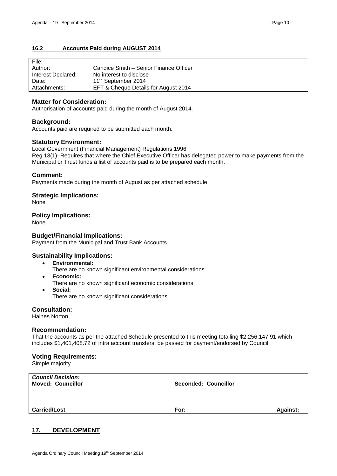# <span id="page-9-0"></span>**16.2 Accounts Paid during AUGUST 2014**

| File:              |                                        |
|--------------------|----------------------------------------|
| Author:            | Candice Smith – Senior Finance Officer |
| Interest Declared: | No interest to disclose                |
| Date:              | 11 <sup>th</sup> September 2014        |
| Attachments:       | EFT & Cheque Details for August 2014   |

# **Matter for Consideration:**

Authorisation of accounts paid during the month of August 2014.

# **Background:**

Accounts paid are required to be submitted each month.

# **Statutory Environment:**

Local Government (Financial Management) Regulations 1996 Reg 13(1)–Requires that where the Chief Executive Officer has delegated power to make payments from the Municipal or Trust funds a list of accounts paid is to be prepared each month.

# **Comment:**

Payments made during the month of August as per attached schedule

# **Strategic Implications:**

None

## **Policy Implications:**

None

# **Budget/Financial Implications:**

Payment from the Municipal and Trust Bank Accounts.

## **Sustainability Implications:**

- **Environmental:**
	- There are no known significant environmental considerations
- **Economic:**
	- There are no known significant economic considerations
- **Social:** There are no known significant considerations

**Consultation:**

Haines Norton

## **Recommendation:**

That the accounts as per the attached Schedule presented to this meeting totalling \$2,256,147.91 which includes \$1,401,408.72 of intra account transfers, be passed for payment/endorsed by Council.

## **Voting Requirements:**

Simple majority

| <b>Moved: Councillor</b> | <b>Seconded: Councillor</b> |                 |
|--------------------------|-----------------------------|-----------------|
| <b>Carried/Lost</b>      | For:                        | <b>Against:</b> |

# <span id="page-9-1"></span>**17. DEVELOPMENT**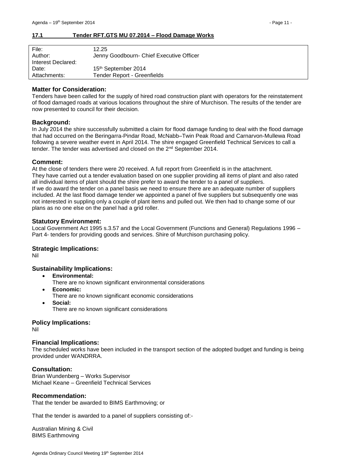## <span id="page-10-0"></span>**17.1 Tender RFT.GTS MU 07.2014 – Flood Damage Works**

| File:              | 12.25                                    |
|--------------------|------------------------------------------|
| Author:            | Jenny Goodbourn- Chief Executive Officer |
| Interest Declared: |                                          |
| Date:              | 15 <sup>th</sup> September 2014          |
| Attachments:       | Tender Report - Greenfields              |

## **Matter for Consideration:**

Tenders have been called for the supply of hired road construction plant with operators for the reinstatement of flood damaged roads at various locations throughout the shire of Murchison. The results of the tender are now presented to council for their decision.

# **Background:**

In July 2014 the shire successfully submitted a claim for flood damage funding to deal with the flood damage that had occurred on the Beringarra-Pindar Road, McNabb–Twin Peak Road and Carnarvon-Mullewa Road following a severe weather event in April 2014. The shire engaged Greenfield Technical Services to call a tender. The tender was advertised and closed on the 2nd September 2014.

## **Comment:**

At the close of tenders there were 20 received. A full report from Greenfield is in the attachment. They have carried out a tender evaluation based on one supplier providing all items of plant and also rated all individual items of plant should the shire prefer to award the tender to a panel of suppliers. If we do award the tender on a panel basis we need to ensure there are an adequate number of suppliers included. At the last flood damage tender we appointed a panel of five suppliers but subsequently one was not interested in suppling only a couple of plant items and pulled out. We then had to change some of our plans as no one else on the panel had a grid roller.

## **Statutory Environment:**

Local Government Act 1995 s.3.57 and the Local Government (Functions and General) Regulations 1996 – Part 4- tenders for providing goods and services. Shire of Murchison purchasing policy.

## **Strategic Implications:**

Nil

# **Sustainability Implications:**

- **Environmental:**
	- There are no known significant environmental considerations
- **Economic:**
	- There are no known significant economic considerations
- **Social:** There are no known significant considerations

## **Policy Implications:**

Nil

## **Financial Implications:**

The scheduled works have been included in the transport section of the adopted budget and funding is being provided under WANDRRA.

## **Consultation:**

Brian Wundenberg – Works Supervisor Michael Keane – Greenfield Technical Services

## **Recommendation:**

That the tender be awarded to BIMS Earthmoving; or

That the tender is awarded to a panel of suppliers consisting of:-

Australian Mining & Civil BIMS Earthmoving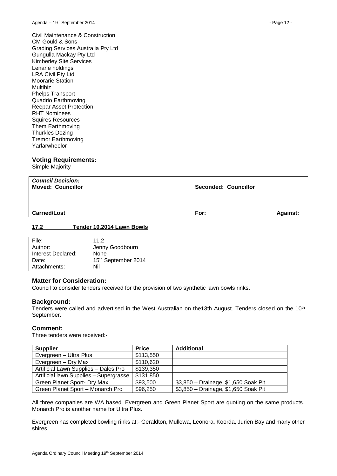Civil Maintenance & Construction CM Gould & Sons Grading Services Australia Pty Ltd Gungulla Mackay Pty Ltd Kimberley Site Services Lenane holdings LRA Civil Pty Ltd Moorarie Station Multibiz Phelps Transport Quadrio Earthmoving Reepar Asset Protection RHT Nominees Squires Resources Them Earthmoving Thurkles Dozing Tremor Earthmoving Yarlarwheelor

## **Voting Requirements:**

Simple Majority

| <b>Council Decision:</b><br><b>Moved: Councillor</b> | <b>Seconded: Councillor</b> |                 |
|------------------------------------------------------|-----------------------------|-----------------|
| <b>Carried/Lost</b>                                  | For:                        | <b>Against:</b> |

## <span id="page-11-0"></span>**17.2 Tender 10.2014 Lawn Bowls**

| File:              | 11.2                            |
|--------------------|---------------------------------|
| Author:            | Jenny Goodbourn                 |
| Interest Declared: | None                            |
| Date:              | 15 <sup>th</sup> September 2014 |
| Attachments:       | Nil                             |

## **Matter for Consideration:**

Council to consider tenders received for the provision of two synthetic lawn bowls rinks.

## **Background:**

Tenders were called and advertised in the West Australian on the13th August. Tenders closed on the 10<sup>th</sup> September.

#### **Comment:**

Three tenders were received:-

| <b>Supplier</b>                        | <b>Price</b> | <b>Additional</b>                    |
|----------------------------------------|--------------|--------------------------------------|
| Evergreen - Ultra Plus                 | \$113,550    |                                      |
| Evergreen - Dry Max                    | \$110,620    |                                      |
| Artificial Lawn Supplies - Dales Pro   | \$139,350    |                                      |
| Artificial lawn Supplies - Supergrasse | \$131,850    |                                      |
| Green Planet Sport- Dry Max            | \$93,500     | \$3,850 - Drainage, \$1,650 Soak Pit |
| Green Planet Sport - Monarch Pro       | \$96,250     | \$3,850 - Drainage, \$1,650 Soak Pit |

All three companies are WA based. Evergreen and Green Planet Sport are quoting on the same products. Monarch Pro is another name for Ultra Plus.

Evergreen has completed bowling rinks at:- Geraldton, Mullewa, Leonora, Koorda, Jurien Bay and many other shires.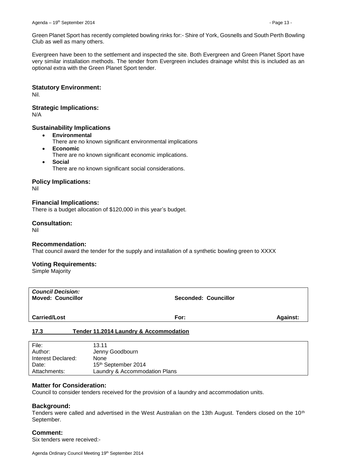Green Planet Sport has recently completed bowling rinks for:- Shire of York, Gosnells and South Perth Bowling Club as well as many others.

Evergreen have been to the settlement and inspected the site. Both Evergreen and Green Planet Sport have very similar installation methods. The tender from Evergreen includes drainage whilst this is included as an optional extra with the Green Planet Sport tender.

## **Statutory Environment:**

Nil.

## **Strategic Implications:**

N/A

## **Sustainability Implications**

- **Environmental**
	- There are no known significant environmental implications
- **Economic** There are no known significant economic implications.
- **Social** There are no known significant social considerations.

# **Policy Implications:**

Nil

# **Financial Implications:**

There is a budget allocation of \$120,000 in this year's budget.

# **Consultation:**

Nil

## **Recommendation:**

That council award the tender for the supply and installation of a synthetic bowling green to XXXX

## **Voting Requirements:**

Simple Majority

| <b>Council Decision:</b><br><b>Moved: Councillor</b> | <b>Seconded: Councillor</b> |                 |
|------------------------------------------------------|-----------------------------|-----------------|
| <b>Carried/Lost</b>                                  | For:                        | <b>Against:</b> |

## <span id="page-12-0"></span>**17.3 Tender 11.2014 Laundry & Accommodation**

| File:<br>Author:   | 13.11<br>Jenny Goodbourn      |
|--------------------|-------------------------------|
| Interest Declared: | None                          |
| Date:              | 15th September 2014           |
| Attachments:       | Laundry & Accommodation Plans |

## **Matter for Consideration:**

Council to consider tenders received for the provision of a laundry and accommodation units.

## **Background:**

Tenders were called and advertised in the West Australian on the 13th August. Tenders closed on the 10<sup>th</sup> September.

## **Comment:**

Six tenders were received:-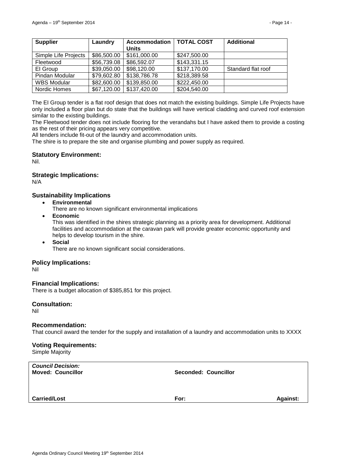| <b>Supplier</b>      | Laundry     | <b>Accommodation</b> | <b>TOTAL COST</b> | <b>Additional</b>  |
|----------------------|-------------|----------------------|-------------------|--------------------|
|                      |             | <b>Units</b>         |                   |                    |
| Simple Life Projects | \$86,500.00 | \$161,000.00         | \$247,500.00      |                    |
| Fleetwood            | \$56,739.08 | \$86,592.07          | \$143,331.15      |                    |
| El Group             | \$39,050.00 | \$98,120.00          | \$137,170.00      | Standard flat roof |
| Pindan Modular       | \$79,602.80 | \$138,786.78         | \$218,389.58      |                    |
| <b>WBS Modular</b>   | \$82,600.00 | \$139,850.00         | \$222,450.00      |                    |
| Nordic Homes         | \$67,120.00 | \$137,420.00         | \$204,540.00      |                    |

The EI Group tender is a flat roof design that does not match the existing buildings. Simple Life Projects have only included a floor plan but do state that the buildings will have vertical cladding and curved roof extension similar to the existing buildings.

The Fleetwood tender does not include flooring for the verandahs but I have asked them to provide a costing as the rest of their pricing appears very competitive.

All tenders include fit-out of the laundry and accommodation units.

The shire is to prepare the site and organise plumbing and power supply as required.

# **Statutory Environment:**

Nil.

# **Strategic Implications:**

N/A

# **Sustainability Implications**

**Environmental**

There are no known significant environmental implications

**Economic**

This was identified in the shires strategic planning as a priority area for development. Additional facilities and accommodation at the caravan park will provide greater economic opportunity and helps to develop tourism in the shire.

 **Social** There are no known significant social considerations.

## **Policy Implications:**

Nil

## **Financial Implications:**

There is a budget allocation of \$385,851 for this project.

## **Consultation:**

Nil

## **Recommendation:**

That council award the tender for the supply and installation of a laundry and accommodation units to XXXX

## **Voting Requirements:**

Simple Majority

| <b>Council Decision:</b><br><b>Moved: Councillor</b> | <b>Seconded: Councillor</b> |                 |
|------------------------------------------------------|-----------------------------|-----------------|
| <b>Carried/Lost</b>                                  | For:                        | <b>Against:</b> |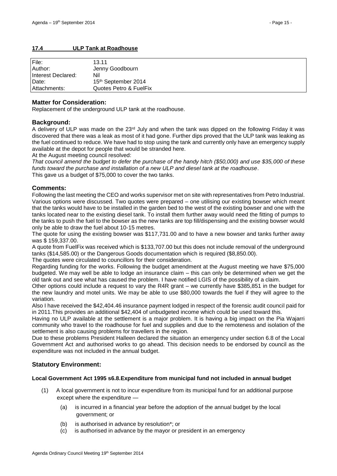# <span id="page-14-0"></span>**17.4 ULP Tank at Roadhouse**

| File:<br>Author:   | 13.11<br>Jenny Goodbourn |
|--------------------|--------------------------|
| Interest Declared: | Nil                      |
| Date:              | 15th September 2014      |
| Attachments:       | Quotes Petro & FuelFix   |

# **Matter for Consideration:**

Replacement of the underground ULP tank at the roadhouse.

# **Background:**

A delivery of ULP was made on the 23rd July and when the tank was dipped on the following Friday it was discovered that there was a leak as most of it had gone. Further dips proved that the ULP tank was leaking as the fuel continued to reduce. We have had to stop using the tank and currently only have an emergency supply available at the depot for people that would be stranded here.

At the August meeting council resolved:

*That council amend the budget to defer the purchase of the handy hitch (\$50,000) and use \$35,000 of these funds toward the purchase and installation of a new ULP and diesel tank at the roadhouse*. This gave us a budget of \$75,000 to cover the two tanks.

# **Comments:**

Following the last meeting the CEO and works supervisor met on site with representatives from Petro Industrial. Various options were discussed. Two quotes were prepared – one utilising our existing bowser which meant that the tanks would have to be installed in the garden bed to the west of the existing bowser and one with the tanks located near to the existing diesel tank. To install them further away would need the fitting of pumps to the tanks to push the fuel to the bowser as the new tanks are top fill/dispensing and the existing bowser would only be able to draw the fuel about 10-15 metres.

The quote for using the existing bowser was \$117,731.00 and to have a new bowser and tanks further away was \$ 159,337.00.

A quote from FuelFix was received which is \$133,707.00 but this does not include removal of the underground tanks (\$14,585.00) or the Dangerous Goods documentation which is required (\$8,850.00).

The quotes were circulated to councillors for their consideration.

Regarding funding for the works. Following the budget amendment at the August meeting we have \$75,000 budgeted. We may well be able to lodge an insurance claim – this can only be determined when we get the old tank out and see what has caused the problem. I have notified LGIS of the possibility of a claim.

Other options could include a request to vary the R4R grant – we currently have \$385,851 in the budget for the new laundry and motel units. We may be able to use \$80,000 towards the fuel if they will agree to the variation.

Also I have received the \$42,404.46 insurance payment lodged in respect of the forensic audit council paid for in 2011.This provides an additional \$42,404 of unbudgeted income which could be used toward this.

Having no ULP available at the settlement is a major problem. It is having a big impact on the Pia Wajarri community who travel to the roadhouse for fuel and supplies and due to the remoteness and isolation of the settlement is also causing problems for travellers in the region.

Due to these problems President Halleen declared the situation an emergency under section 6.8 of the Local Government Act and authorised works to go ahead. This decision needs to be endorsed by council as the expenditure was not included in the annual budget.

# **Statutory Environment:**

## **Local Government Act 1995 s6.8.Expenditure from municipal fund not included in annual budget**

- (1) A local government is not to incur expenditure from its municipal fund for an additional purpose except where the expenditure —
	- (a) is incurred in a financial year before the adoption of the annual budget by the local government; or
	- (b) is authorised in advance by resolution\*; or
	- (c) is authorised in advance by the mayor or president in an emergency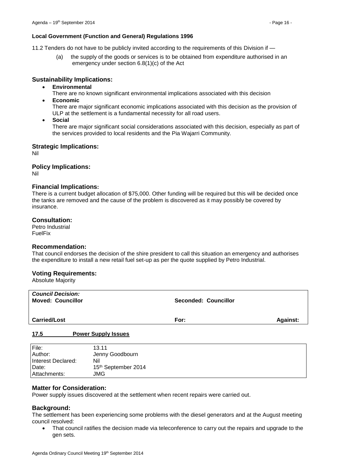## **Local Government (Function and General) Regulations 1996**

11.2 Tenders do not have to be publicly invited according to the requirements of this Division if —

(a) the supply of the goods or services is to be obtained from expenditure authorised in an emergency under section 6.8(1)(c) of the Act

## **Sustainability Implications:**

- **Environmental**
	- There are no known significant environmental implications associated with this decision
- **Economic**

There are major significant economic implications associated with this decision as the provision of ULP at the settlement is a fundamental necessity for all road users.

**Social**

There are major significant social considerations associated with this decision, especially as part of the services provided to local residents and the Pia Wajarri Community.

## **Strategic Implications:**

Nil

## **Policy Implications:**

Nil

## **Financial Implications:**

There is a current budget allocation of \$75,000. Other funding will be required but this will be decided once the tanks are removed and the cause of the problem is discovered as it may possibly be covered by insurance.

## **Consultation:**

Petro Industrial FuelFix

## **Recommendation:**

That council endorses the decision of the shire president to call this situation an emergency and authorises the expenditure to install a new retail fuel set-up as per the quote supplied by Petro Industrial.

## **Voting Requirements:**

Absolute Majority

| <b>Council Decision:</b><br><b>Moved: Councillor</b> | <b>Seconded: Councillor</b> |                 |
|------------------------------------------------------|-----------------------------|-----------------|
| <b>Carried/Lost</b>                                  | For:                        | <b>Against:</b> |
| 47F<br>Barrian Broadcollands and                     |                             |                 |

#### <span id="page-15-0"></span>**17.5 Power Supply Issues**

| File:              | 13.11               |
|--------------------|---------------------|
| Author:            | Jenny Goodbourn     |
| Interest Declared: | Nil                 |
| Date:              | 15th September 2014 |
| Attachments:       | JMG                 |

# **Matter for Consideration:**

Power supply issues discovered at the settlement when recent repairs were carried out.

## **Background:**

The settlement has been experiencing some problems with the diesel generators and at the August meeting council resolved:

 That council ratifies the decision made via teleconference to carry out the repairs and upgrade to the gen sets.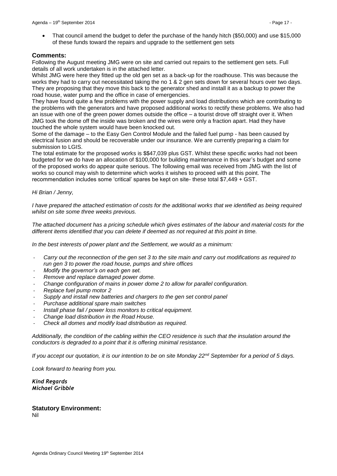That council amend the budget to defer the purchase of the handy hitch (\$50,000) and use \$15,000 of these funds toward the repairs and upgrade to the settlement gen sets

## **Comments:**

Following the August meeting JMG were on site and carried out repairs to the settlement gen sets. Full details of all work undertaken is in the attached letter.

Whilst JMG were here they fitted up the old gen set as a back-up for the roadhouse. This was because the works they had to carry out necessitated taking the no 1 & 2 gen sets down for several hours over two days. They are proposing that they move this back to the generator shed and install it as a backup to power the road house, water pump and the office in case of emergencies.

They have found quite a few problems with the power supply and load distributions which are contributing to the problems with the generators and have proposed additional works to rectify these problems. We also had an issue with one of the green power domes outside the office – a tourist drove off straight over it. When JMG took the dome off the inside was broken and the wires were only a fraction apart. Had they have touched the whole system would have been knocked out.

Some of the damage – to the Easy Gen Control Module and the failed fuel pump - has been caused by electrical fusion and should be recoverable under our insurance. We are currently preparing a claim for submission to LGIS.

The total estimate for the proposed works is \$\$47,039 plus GST. Whilst these specific works had not been budgeted for we do have an allocation of \$100,000 for building maintenance in this year's budget and some of the proposed works do appear quite serious. The following email was received from JMG with the list of works so council may wish to determine which works it wishes to proceed with at this point. The recommendation includes some 'critical' spares be kept on site- these total \$7,449 + GST.

## *Hi Brian / Jenny,*

*I have prepared the attached estimation of costs for the additional works that we identified as being required whilst on site some three weeks previous.*

*The attached document has a pricing schedule which gives estimates of the labour and material costs for the different items identified that you can delete if deemed as not required at this point in time.*

*In the best interests of power plant and the Settlement, we would as a minimum:*

- *Carry out the reconnection of the gen set 3 to the site main and carry out modifications as required to run gen 3 to power the road house, pumps and shire offices*
- *Modify the governor's on each gen set.*
- *Remove and replace damaged power dome.*
- *Change configuration of mains in power dome 2 to allow for parallel configuration.*
- *Replace fuel pump motor 2*
- *Supply and install new batteries and chargers to the gen set control panel*
- *Purchase additional spare main switches*
- *Install phase fail / power loss monitors to critical equipment.*
- *Change load distribution in the Road House.*
- *Check all domes and modify load distribution as required.*

*Additionally, the condition of the cabling within the CEO residence is such that the insulation around the conductors is degraded to a point that it is offering minimal resistance.*

*If you accept our quotation, it is our intention to be on site Monday 22nd September for a period of 5 days.*

*Look forward to hearing from you.*

#### *Kind Regards Michael Gribble*

# **Statutory Environment:**

Nil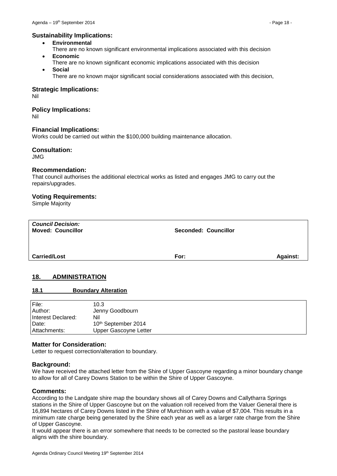## **Sustainability Implications:**

- **Environmental**
- There are no known significant environmental implications associated with this decision **Economic**
- There are no known significant economic implications associated with this decision **Social**
	- There are no known major significant social considerations associated with this decision,

#### **Strategic Implications:**

Nil

## **Policy Implications:**

Nil

## **Financial Implications:**

Works could be carried out within the \$100,000 building maintenance allocation.

## **Consultation:**

JMG

## **Recommendation:**

That council authorises the additional electrical works as listed and engages JMG to carry out the repairs/upgrades.

#### **Voting Requirements:**

Simple Majority

| <b>Council Decision:</b><br><b>Moved: Councillor</b> | <b>Seconded: Councillor</b> |                 |
|------------------------------------------------------|-----------------------------|-----------------|
| <b>Carried/Lost</b>                                  | For:                        | <b>Against:</b> |

## <span id="page-17-0"></span>**18. ADMINISTRATION**

#### <span id="page-17-1"></span>**18.1 Boundary Alteration**

| File:<br>Author:   | 10.3<br>Jenny Goodbourn         |
|--------------------|---------------------------------|
| Interest Declared: | Nil                             |
| Date:              | 10 <sup>th</sup> September 2014 |
| l Attachments:     | Upper Gascoyne Letter           |

## **Matter for Consideration:**

Letter to request correction/alteration to boundary.

#### **Background:**

We have received the attached letter from the Shire of Upper Gascoyne regarding a minor boundary change to allow for all of Carey Downs Station to be within the Shire of Upper Gascoyne.

#### **Comments:**

According to the Landgate shire map the boundary shows all of Carey Downs and Callytharra Springs stations in the Shire of Upper Gascoyne but on the valuation roll received from the Valuer General there is 16,894 hectares of Carey Downs listed in the Shire of Murchison with a value of \$7,004. This results in a minimum rate charge being generated by the Shire each year as well as a larger rate charge from the Shire of Upper Gascoyne.

It would appear there is an error somewhere that needs to be corrected so the pastoral lease boundary aligns with the shire boundary.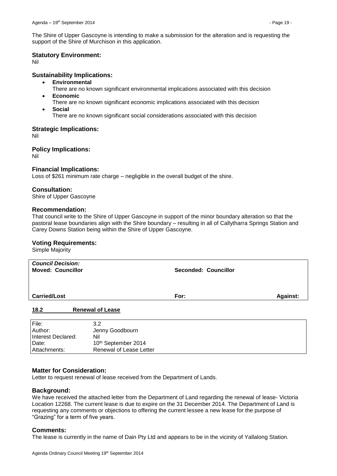The Shire of Upper Gascoyne is intending to make a submission for the alteration and is requesting the support of the Shire of Murchison in this application.

## **Statutory Environment:**

Nil

## **Sustainability Implications:**

- **Environmental**
- There are no known significant environmental implications associated with this decision
- **Economic**
- There are no known significant economic implications associated with this decision **Social**
	- There are no known significant social considerations associated with this decision

# **Strategic Implications:**

Nil

## **Policy Implications:**

Nil

## **Financial Implications:**

Loss of \$261 minimum rate charge – negligible in the overall budget of the shire.

## **Consultation:**

Shire of Upper Gascoyne

## **Recommendation:**

That council write to the Shire of Upper Gascoyne in support of the minor boundary alteration so that the pastoral lease boundaries align with the Shire boundary – resulting in all of Callytharra Springs Station and Carey Downs Station being within the Shire of Upper Gascoyne.

#### **Voting Requirements:**

Simple Majority

| <b>Council Decision:</b><br><b>Moved: Councillor</b> |                         | <b>Seconded: Councillor</b> |          |
|------------------------------------------------------|-------------------------|-----------------------------|----------|
| <b>Carried/Lost</b>                                  |                         | For:                        | Against: |
| 18.2                                                 | <b>Renewal of Lease</b> |                             |          |
| File:<br>Author:                                     | 3.2<br>Jenny Goodbourn  |                             |          |

<span id="page-18-0"></span>

| <b>IAUUU</b>         | <b>JEILIN QUUUDUUIII</b>        |
|----------------------|---------------------------------|
| Hnterest Declared:   | Nil                             |
| Date:                | 10 <sup>th</sup> September 2014 |
| <b>LAttachments:</b> | Renewal of Lease Letter         |
|                      |                                 |

## **Matter for Consideration:**

Letter to request renewal of lease received from the Department of Lands.

#### **Background:**

We have received the attached letter from the Department of Land regarding the renewal of lease- Victoria Location 12268. The current lease is due to expire on the 31 December 2014. The Department of Land is requesting any comments or objections to offering the current lessee a new lease for the purpose of "Grazing" for a term of five years.

## **Comments:**

The lease is currently in the name of Dain Pty Ltd and appears to be in the vicinity of Yallalong Station.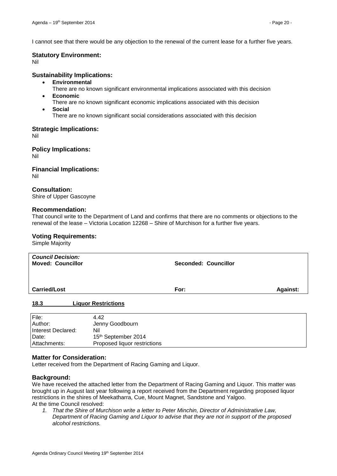I cannot see that there would be any objection to the renewal of the current lease for a further five years.

## **Statutory Environment:**

Nil

## **Sustainability Implications:**

- **Environmental**
- There are no known significant environmental implications associated with this decision
- **Economic**
- There are no known significant economic implications associated with this decision **Social**
- There are no known significant social considerations associated with this decision

## **Strategic Implications:**

Nil

**Policy Implications:**

Nil

**Financial Implications:** Nil

## **Consultation:**

Shire of Upper Gascoyne

## **Recommendation:**

That council write to the Department of Land and confirms that there are no comments or objections to the renewal of the lease – Victoria Location 12268 – Shire of Murchison for a further five years.

## **Voting Requirements:**

Simple Majority

| <b>Council Decision:</b><br><b>Moved: Councillor</b> |                                                       | <b>Seconded: Councillor</b> |                 |
|------------------------------------------------------|-------------------------------------------------------|-----------------------------|-----------------|
| <b>Carried/Lost</b>                                  |                                                       | For:                        | <b>Against:</b> |
| 18.3                                                 | <b>Liquor Restrictions</b>                            |                             |                 |
| File:<br>Author:<br>Interest Declared:<br>Date:      | 4.42<br>Jenny Goodbourn<br>Nil<br>15th September 2014 |                             |                 |

#### **Matter for Consideration:**

Letter received from the Department of Racing Gaming and Liquor.

<span id="page-19-0"></span>Attachments: Proposed liquor restrictions

#### **Background:**

We have received the attached letter from the Department of Racing Gaming and Liquor. This matter was brought up in August last year following a report received from the Department regarding proposed liquor restrictions in the shires of Meekatharra, Cue, Mount Magnet, Sandstone and Yalgoo. At the time Council resolved:

*1. That the Shire of Murchison write a letter to Peter Minchin, Director of Administrative Law, Department of Racing Gaming and Liquor to advise that they are not in support of the proposed alcohol restrictions.*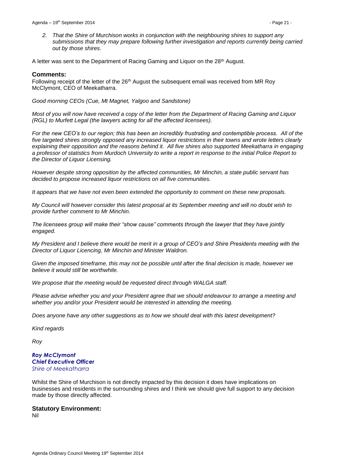*2. That the Shire of Murchison works in conjunction with the neighbouring shires to support any submissions that they may prepare following further investigation and reports currently being carried out by those shires.*

A letter was sent to the Department of Racing Gaming and Liquor on the 28<sup>th</sup> August.

## **Comments:**

Following receipt of the letter of the 26<sup>th</sup> August the subsequent email was received from MR Roy McClymont, CEO of Meekatharra.

*Good morning CEOs (Cue, Mt Magnet, Yalgoo and Sandstone)*

*Most of you will now have received a copy of the letter from the Department of Racing Gaming and Liquor (RGL) to Murfett Legal (the lawyers acting for all the affected licensees).*

*For the new CEO's to our region; this has been an incredibly frustrating and contemptible process. All of the five targeted shires strongly opposed any increased liquor restrictions in their towns and wrote letters clearly explaining their opposition and the reasons behind it. All five shires also supported Meekatharra in engaging a professor of statistics from Murdoch University to write a report in response to the initial Police Report to the Director of Liquor Licensing.* 

*However despite strong opposition by the affected communities, Mr Minchin, a state public servant has decided to propose increased liquor restrictions on all five communities.*

*It appears that we have not even been extended the opportunity to comment on these new proposals.* 

*My Council will however consider this latest proposal at its September meeting and will no doubt wish to provide further comment to Mr Minchin.*

*The licensees group will make their "show cause" comments through the lawyer that they have jointly engaged.*

*My President and I believe there would be merit in a group of CEO's and Shire Presidents meeting with the Director of Liquor Licencing, Mr Minchin and Minister Waldron.*

*Given the imposed timeframe, this may not be possible until after the final decision is made, however we believe it would still be worthwhile.* 

*We propose that the meeting would be requested direct through WALGA staff.*

*Please advise whether you and your President agree that we should endeavour to arrange a meeting and whether you and/or your President would be interested in attending the meeting.* 

*Does anyone have any other suggestions as to how we should deal with this latest development?*

*Kind regards*

*Roy*

## *Roy McClymont Chief Executive Officer Shire of Meekatharra*

Whilst the Shire of Murchison is not directly impacted by this decision it does have implications on businesses and residents in the surrounding shires and I think we should give full support to any decision made by those directly affected.

## **Statutory Environment:**

Nil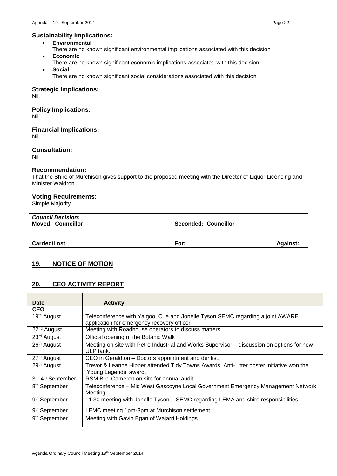# **Sustainability Implications:**

- **Environmental**
- There are no known significant environmental implications associated with this decision **Economic**
- There are no known significant economic implications associated with this decision
- **Social** There are no known significant social considerations associated with this decision

**Strategic Implications:**

Nil

**Policy Implications:** Nil

**Financial Implications:**

Nil

**Consultation:** Nil

# **Recommendation:**

That the Shire of Murchison gives support to the proposed meeting with the Director of Liquor Licencing and Minister Waldron.

## **Voting Requirements:**

Simple Majority

| <b>Council Decision:</b><br><b>Moved: Councillor</b> | <b>Seconded: Councillor</b> |                 |
|------------------------------------------------------|-----------------------------|-----------------|
| <b>Carried/Lost</b>                                  | For:                        | <b>Against:</b> |

# <span id="page-21-0"></span>**19. NOTICE OF MOTION**

# <span id="page-21-1"></span>**20. CEO ACTIVITY REPORT**

| Date                      | <b>Activity</b>                                                                                                              |
|---------------------------|------------------------------------------------------------------------------------------------------------------------------|
| <b>CEO</b>                |                                                                                                                              |
| 19 <sup>th</sup> August   | Teleconference with Yalgoo, Cue and Jonelle Tyson SEMC regarding a joint AWARE<br>application for emergency recovery officer |
| 22 <sup>nd</sup> August   | Meeting with Roadhouse operators to discuss matters                                                                          |
| 23 <sup>rd</sup> August   | Official opening of the Botanic Walk                                                                                         |
| 26 <sup>th</sup> August   | Meeting on site with Petro Industrial and Works Supervisor – discussion on options for new<br>ULP tank.                      |
| 27 <sup>th</sup> August   | CEO in Geraldton - Doctors appointment and dentist.                                                                          |
| 29 <sup>th</sup> August   | Trevor & Leanne Hipper attended Tidy Towns Awards. Anti-Litter poster initiative won the<br>'Young Legends' award.           |
| 3rd-4th September         | RSM Bird Cameron on site for annual audit                                                                                    |
| 8 <sup>th</sup> September | Teleconference - Mid West Gascoyne Local Government Emergency Management Network<br>Meeting                                  |
| 9 <sup>th</sup> September | 11.30 meeting with Jonelle Tyson - SEMC regarding LEMA and shire responsibilities.                                           |
| 9 <sup>th</sup> September | LEMC meeting 1pm-3pm at Murchison settlement                                                                                 |
| 9 <sup>th</sup> September | Meeting with Gavin Egan of Wajarri Holdings                                                                                  |